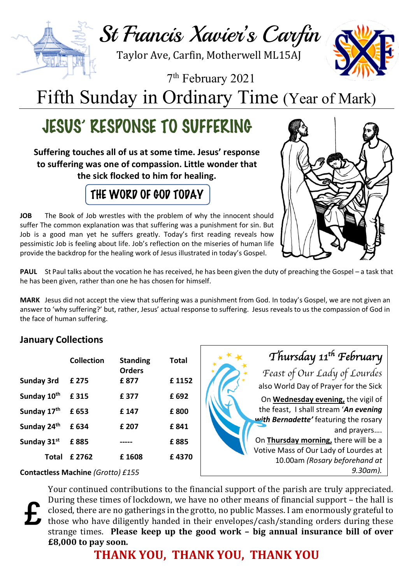

Taylor Ave, Carfin, Motherwell ML15AJ

7th February 2021

Fifth Sunday in Ordinary Time (Year of Mark)

# JESUS' RESPONSE TO SUFFERING

**Suffering touches all of us at some time. Jesus' response to suffering was one of compassion. Little wonder that the sick flocked to him for healing.**

## THE WORD OF GOD TODAY

**JOB** The Book of Job wrestles with the problem of why the innocent should suffer The common explanation was that suffering was a punishment for sin. But Job is a good man yet he suffers greatly. Today's first reading reveals how pessimistic Job is feeling about life. Job's reflection on the miseries of human life provide the backdrop for the healing work of Jesus illustrated in today's Gospel.



**PAUL** St Paul talks about the vocation he has received, he has been given the duty of preaching the Gospel – a task that he has been given, rather than one he has chosen for himself.

**MARK** Jesus did not accept the view that suffering was a punishment from God. In today's Gospel, we are not given an answer to 'why suffering?' but, rather, Jesus' actual response to suffering. Jesus reveals to us the compassion of God in the face of human suffering.

### **January Collections**

|                         | Collection | <b>Standing</b><br><b>Orders</b> | Total |
|-------------------------|------------|----------------------------------|-------|
| <b>Sunday 3rd</b>       | £ 275      | £ 877                            | £1152 |
| Sunday 10 <sup>th</sup> | £315       | £ 377                            | £ 692 |
| Sunday 17th             | £ 653      | £ 147                            | £800  |
| Sunday 24th             | £ 634      | £ 207                            | £ 841 |
| Sunday 31st             | £885       |                                  | £885  |
| Total                   | £ 2762     | £1608                            | £4370 |



**Contactless Machine** *(Grotto) £155*

**£**

Your continued contributions to the financial support of the parish are truly appreciated. During these times of lockdown, we have no other means of financial support - the hall is closed, there are no gatherings in the grotto, no public Masses. I am enormously grateful to those who have diligently handed in their envelopes/cash/standing orders during these strange times. Please keep up the good work – big annual insurance bill of over **£8,000** to pay soon.

**THANK YOU, THANK YOU, THANK YOU**